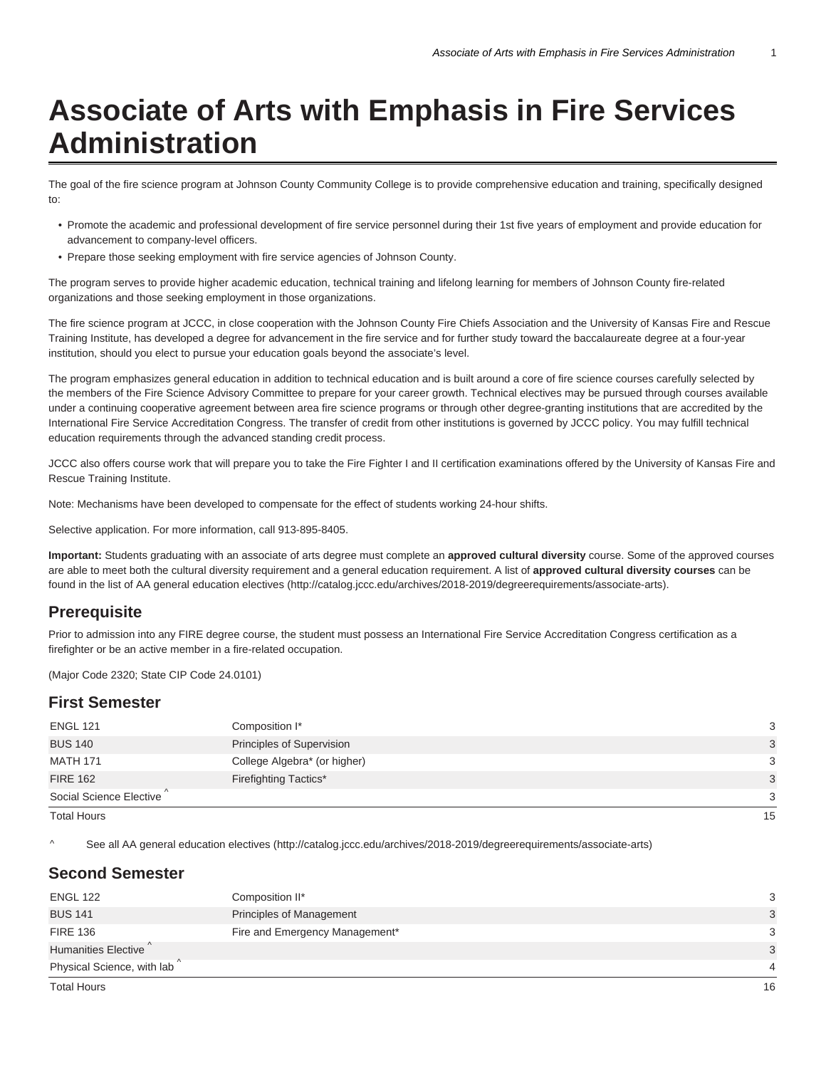# **Associate of Arts with Emphasis in Fire Services Administration**

The goal of the fire science program at Johnson County Community College is to provide comprehensive education and training, specifically designed to:

- Promote the academic and professional development of fire service personnel during their 1st five years of employment and provide education for advancement to company-level officers.
- Prepare those seeking employment with fire service agencies of Johnson County.

The program serves to provide higher academic education, technical training and lifelong learning for members of Johnson County fire-related organizations and those seeking employment in those organizations.

The fire science program at JCCC, in close cooperation with the Johnson County Fire Chiefs Association and the University of Kansas Fire and Rescue Training Institute, has developed a degree for advancement in the fire service and for further study toward the baccalaureate degree at a four-year institution, should you elect to pursue your education goals beyond the associate's level.

The program emphasizes general education in addition to technical education and is built around a core of fire science courses carefully selected by the members of the Fire Science Advisory Committee to prepare for your career growth. Technical electives may be pursued through courses available under a continuing cooperative agreement between area fire science programs or through other degree-granting institutions that are accredited by the International Fire Service Accreditation Congress. The transfer of credit from other institutions is governed by JCCC policy. You may fulfill technical education requirements through the advanced standing credit process.

JCCC also offers course work that will prepare you to take the Fire Fighter I and II certification examinations offered by the University of Kansas Fire and Rescue Training Institute.

Note: Mechanisms have been developed to compensate for the effect of students working 24-hour shifts.

Selective application. For more information, call 913-895-8405.

**Important:** Students graduating with an associate of arts degree must complete an **approved cultural diversity** course. Some of the approved courses are able to meet both the cultural diversity requirement and a general education requirement. A list of **approved cultural diversity courses** can be found in the list of AA general education electives (http://catalog.jccc.edu/archives/2018-2019/degreerequirements/associate-arts).

### **Prerequisite**

Prior to admission into any FIRE degree course, the student must possess an International Fire Service Accreditation Congress certification as a firefighter or be an active member in a fire-related occupation.

(Major Code 2320; State CIP Code 24.0101)

#### **First Semester**

^ See all AA general education electives (http://catalog.jccc.edu/archives/2018-2019/degreerequirements/associate-arts)

### **Second Semester**

| <b>ENGL 122</b>                         | Composition II*                | 3              |
|-----------------------------------------|--------------------------------|----------------|
| <b>BUS 141</b>                          | Principles of Management       | 3              |
| <b>FIRE 136</b>                         | Fire and Emergency Management* | 3              |
| Humanities Elective                     |                                | 3              |
| Physical Science, with lab <sup>^</sup> |                                | $\overline{4}$ |
| <b>Total Hours</b>                      |                                | 16             |